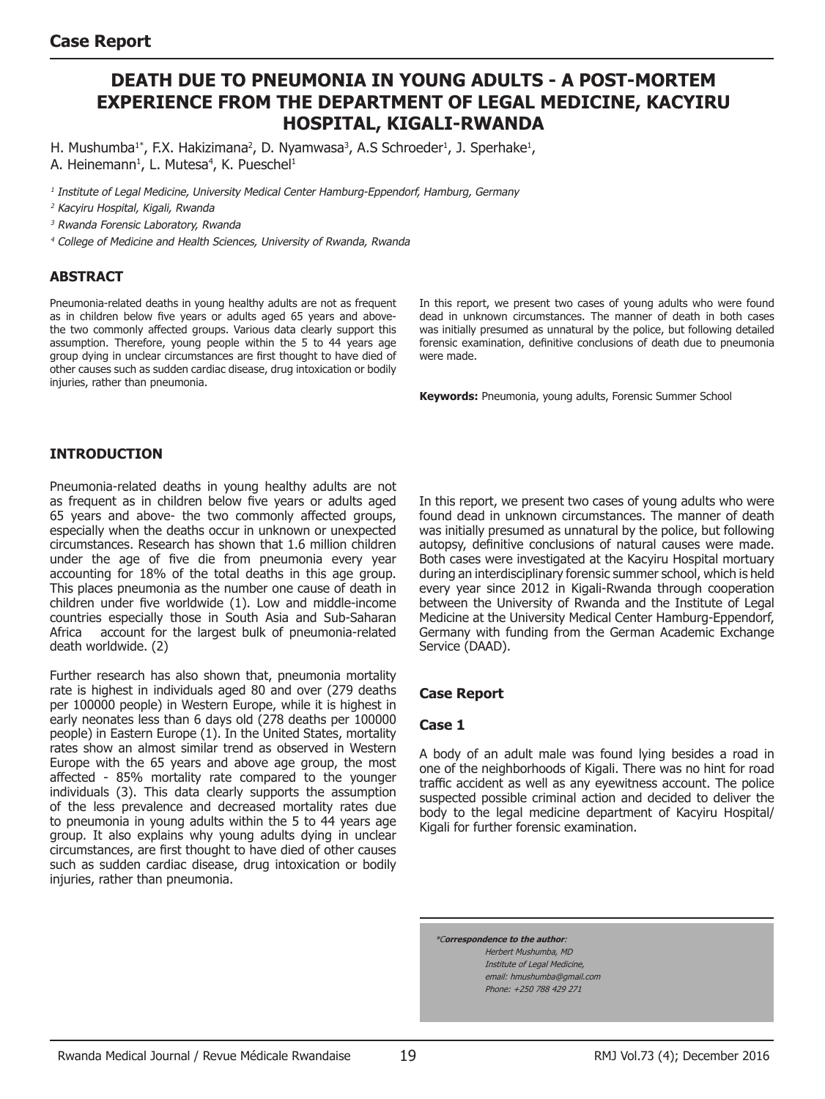# **Death due to pneumonia in young adults - A post-mortem experience from the Department of Legal Medicine, Kacyiru Hospital, Kigali-Rwanda**

H. Mushumba<sup>1\*</sup>, F.X. Hakizimana<sup>2</sup>, D. Nyamwasa<sup>3</sup>, A.S Schroeder<sup>1</sup>, J. Sperhake<sup>1</sup>, A. Heinemann<sup>1</sup>, L. Mutesa<sup>4</sup>, K. Pueschel<sup>1</sup>

<sup>1</sup> Institute of Legal Medicine, University Medical Center Hamburg-Eppendorf, Hamburg, Germany

<sup>2</sup> Kacyiru Hospital, Kigali, Rwanda

<sup>3</sup> Rwanda Forensic Laboratory, Rwanda

<sup>4</sup> College of Medicine and Health Sciences, University of Rwanda, Rwanda

#### **ABSTRACT**

Pneumonia-related deaths in young healthy adults are not as frequent as in children below five years or adults aged 65 years and abovethe two commonly affected groups. Various data clearly support this assumption. Therefore, young people within the 5 to 44 years age group dying in unclear circumstances are first thought to have died of other causes such as sudden cardiac disease, drug intoxication or bodily injuries, rather than pneumonia.

In this report, we present two cases of young adults who were found dead in unknown circumstances. The manner of death in both cases was initially presumed as unnatural by the police, but following detailed forensic examination, definitive conclusions of death due to pneumonia were made.

**Keywords:** Pneumonia, young adults, Forensic Summer School

#### **Introduction**

Pneumonia-related deaths in young healthy adults are not as frequent as in children below five years or adults aged 65 years and above- the two commonly affected groups, especially when the deaths occur in unknown or unexpected circumstances. Research has shown that 1.6 million children under the age of five die from pneumonia every year accounting for 18% of the total deaths in this age group. This places pneumonia as the number one cause of death in children under five worldwide (1). Low and middle-income countries especially those in South Asia and Sub-Saharan Africa account for the largest bulk of pneumonia-related death worldwide. (2)

Further research has also shown that, pneumonia mortality rate is highest in individuals aged 80 and over (279 deaths per 100000 people) in Western Europe, while it is highest in early neonates less than 6 days old (278 deaths per 100000 people) in Eastern Europe (1). In the United States, mortality rates show an almost similar trend as observed in Western Europe with the 65 years and above age group, the most affected - 85% mortality rate compared to the younger individuals (3). This data clearly supports the assumption of the less prevalence and decreased mortality rates due to pneumonia in young adults within the 5 to 44 years age group. It also explains why young adults dying in unclear circumstances, are first thought to have died of other causes such as sudden cardiac disease, drug intoxication or bodily injuries, rather than pneumonia.

In this report, we present two cases of young adults who were found dead in unknown circumstances. The manner of death was initially presumed as unnatural by the police, but following autopsy, definitive conclusions of natural causes were made. Both cases were investigated at the Kacyiru Hospital mortuary during an interdisciplinary forensic summer school, which is held every year since 2012 in Kigali-Rwanda through cooperation between the University of Rwanda and the Institute of Legal Medicine at the University Medical Center Hamburg-Eppendorf, Germany with funding from the German Academic Exchange Service (DAAD).

#### **Case Report**

#### **Case 1**

A body of an adult male was found lying besides a road in one of the neighborhoods of Kigali. There was no hint for road traffic accident as well as any eyewitness account. The police suspected possible criminal action and decided to deliver the body to the legal medicine department of Kacyiru Hospital/ Kigali for further forensic examination.

\*C**orrespondence to the author**: Herbert Mushumba, MD Institute of Legal Medicine, email: hmushumba@gmail.com Phone: +250 788 429 271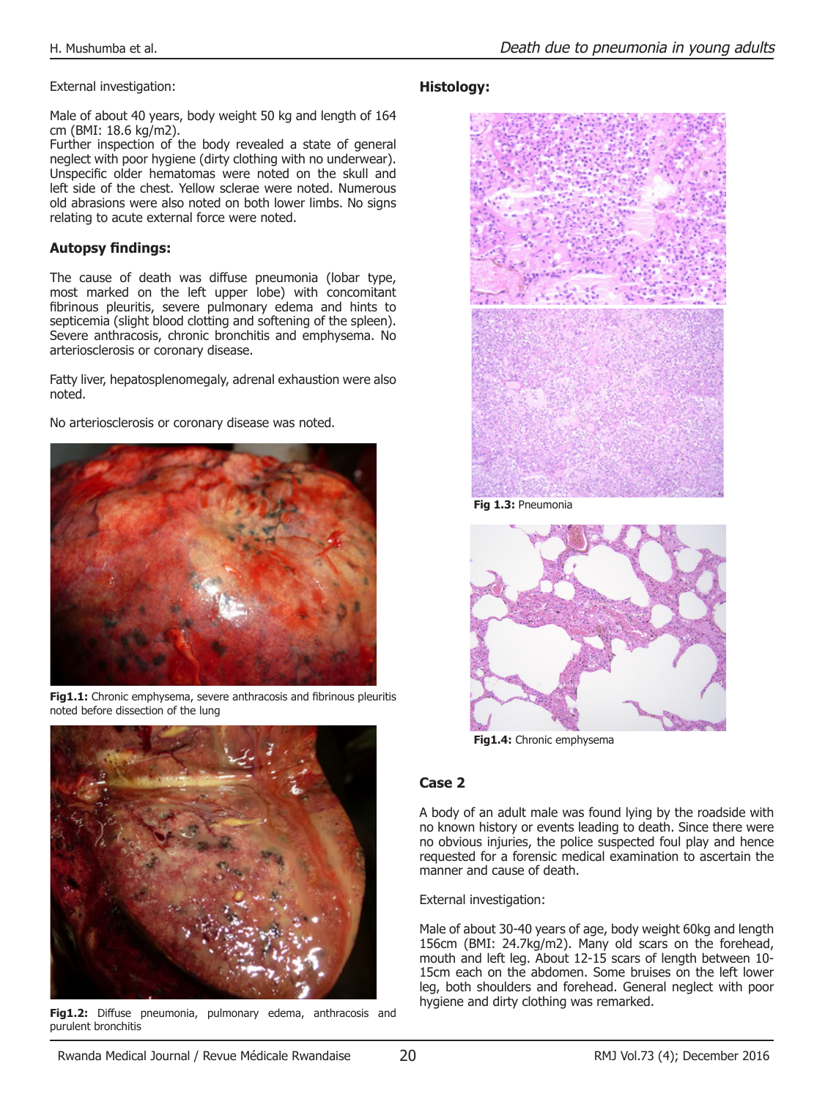External investigation:

Male of about 40 years, body weight 50 kg and length of 164 cm (BMI: 18.6 kg/m2).

Further inspection of the body revealed a state of general neglect with poor hygiene (dirty clothing with no underwear). Unspecific older hematomas were noted on the skull and left side of the chest. Yellow sclerae were noted. Numerous old abrasions were also noted on both lower limbs. No signs relating to acute external force were noted.

# **Autopsy findings:**

The cause of death was diffuse pneumonia (lobar type, most marked on the left upper lobe) with concomitant fibrinous pleuritis, severe pulmonary edema and hints to septicemia (slight blood clotting and softening of the spleen). Severe anthracosis, chronic bronchitis and emphysema. No arteriosclerosis or coronary disease.

Fatty liver, hepatosplenomegaly, adrenal exhaustion were also noted.

No arteriosclerosis or coronary disease was noted.



**Fig1.1:** Chronic emphysema, severe anthracosis and fibrinous pleuritis noted before dissection of the lung



**Fig1.2:** Diffuse pneumonia, pulmonary edema, anthracosis and purulent bronchitis

## **Histology:**



**Fig 1.3:** Pneumonia



**Fig1.4:** Chronic emphysema

## **Case 2**

A body of an adult male was found lying by the roadside with no known history or events leading to death. Since there were no obvious injuries, the police suspected foul play and hence requested for a forensic medical examination to ascertain the manner and cause of death.

External investigation:

Male of about 30-40 years of age, body weight 60kg and length 156cm (BMI: 24.7kg/m2). Many old scars on the forehead, mouth and left leg. About 12-15 scars of length between 10- 15cm each on the abdomen. Some bruises on the left lower leg, both shoulders and forehead. General neglect with poor hygiene and dirty clothing was remarked.